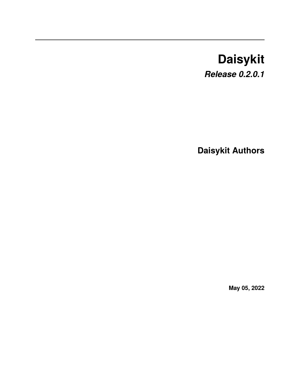# **Daisykit**

*Release 0.2.0.1*

**Daisykit Authors**

**May 05, 2022**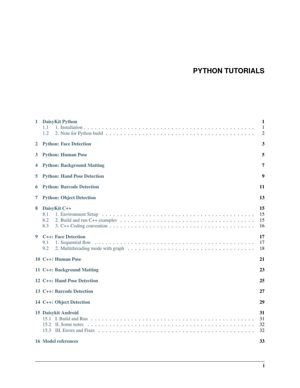# **PYTHON TUTORIALS**

| 1 | <b>DaisyKit Python</b><br>1.1<br>1.2                             | $\mathbf{1}$<br>1<br>$\overline{2}$ |  |  |  |  |
|---|------------------------------------------------------------------|-------------------------------------|--|--|--|--|
| 2 | <b>Python: Face Detection</b>                                    |                                     |  |  |  |  |
| 3 | <b>Python: Human Pose</b>                                        |                                     |  |  |  |  |
| 4 | <b>Python: Background Matting</b>                                |                                     |  |  |  |  |
| 5 | <b>Python: Hand Pose Detection</b>                               |                                     |  |  |  |  |
| 6 | <b>Python: Barcode Detection</b><br>11                           |                                     |  |  |  |  |
| 7 | 13<br><b>Python: Object Detection</b>                            |                                     |  |  |  |  |
| 8 | DaisyKit C++<br>8.1<br>8.2<br>8.3                                | 15<br>15<br>15<br>16                |  |  |  |  |
| 9 | <b>C++: Face Detection</b><br>9.1<br>1. Sequential flow<br>9.2   | 17<br>17<br>18                      |  |  |  |  |
|   | 10 C++: Human Pose                                               | 21                                  |  |  |  |  |
|   | 11 C++: Background Matting                                       | 23                                  |  |  |  |  |
|   | 12 C++: Hand Pose Detection                                      | 25                                  |  |  |  |  |
|   | 13 C++: Barcode Detection                                        | 27                                  |  |  |  |  |
|   | 14 C++: Object Detection                                         | 29                                  |  |  |  |  |
|   | <b>15 Daisykit Android</b><br>15.3<br><b>16 Model references</b> | 31<br>31<br>32<br>32<br>33          |  |  |  |  |
|   |                                                                  |                                     |  |  |  |  |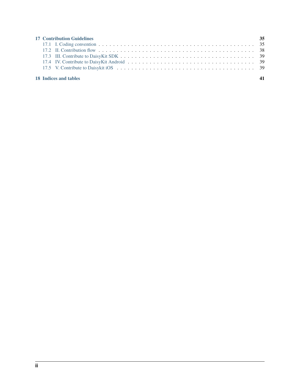| <b>17 Contribution Guidelines</b><br>35 |  |  |  |  |  |  |  |
|-----------------------------------------|--|--|--|--|--|--|--|
|                                         |  |  |  |  |  |  |  |
|                                         |  |  |  |  |  |  |  |
|                                         |  |  |  |  |  |  |  |
|                                         |  |  |  |  |  |  |  |
|                                         |  |  |  |  |  |  |  |
|                                         |  |  |  |  |  |  |  |
| 18 Indices and tables                   |  |  |  |  |  |  |  |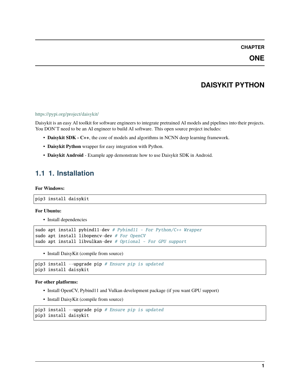### **DAISYKIT PYTHON**

#### <span id="page-4-0"></span><https://pypi.org/project/daisykit/>

Daisykit is an easy AI toolkit for software engineers to integrate pretrained AI models and pipelines into their projects. You DON'T need to be an AI engineer to build AI software. This open source project includes:

- **Daisykit SDK C++**, the core of models and algorithms in NCNN deep learning framework.
- **Daisykit Python** wrapper for easy integration with Python.
- **Daisykit Android** Example app demonstrate how to use Daisykit SDK in Android.

# <span id="page-4-1"></span>**1.1 1. Installation**

#### **For Windows:**

```
pip3 install daisykit
```
#### **For Ubuntu:**

• Install dependencies

```
sudo apt install pybind11-dev # Pybind11 - For Python/C++ Wrapper
sudo apt install libopencv-dev # For OpenCV
sudo apt install libvulkan-dev # Optional - For GPU support
```
• Install DaisyKit (compile from source)

```
pip3 install --upgrade pip # Ensure pip is updated
pip3 install daisykit
```
#### **For other platforms:**

- Install OpenCV, Pybind11 and Vulkan development package (if you want GPU support)
- Install DaisyKit (compile from source)

```
pip3 install --upgrade pip # Ensure pip is updated
pip3 install daisykit
```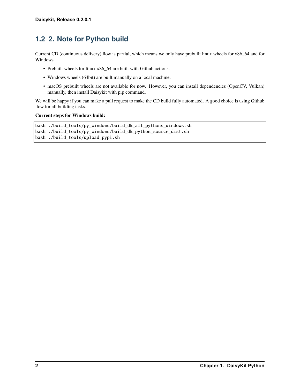### <span id="page-5-0"></span>**1.2 2. Note for Python build**

Current CD (continuous delivery) flow is partial, which means we only have prebuilt linux wheels for x86\_64 and for Windows.

- Prebuilt wheels for linux x86\_64 are built with Github actions.
- Windows wheels (64bit) are built manually on a local machine.
- macOS prebuilt wheels are not available for now. However, you can install dependencies (OpenCV, Vulkan) manually, then install Daisykit with pip command.

We will be happy if you can make a pull request to make the CD build fully automated. A good choice is using Github flow for all building tasks.

#### **Current steps for Windows build:**

```
bash ./build_tools/py_windows/build_dk_all_pythons_windows.sh
bash ./build_tools/py_windows/build_dk_python_source_dist.sh
bash ./build_tools/upload_pypi.sh
```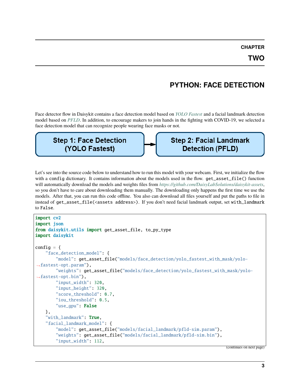# **PYTHON: FACE DETECTION**

<span id="page-6-0"></span>Face detector flow in Daisykit contains a face detection model based on *[YOLO Fastest](https://github.com/dog-qiuqiu/Yolo-Fastest)* and a facial landmark detection model based on *[PFLD](https://github.com/polarisZhao/PFLD-pytorch)*. In addition, to encourage makers to join hands in the fighting with COVID-19, we selected a face detection model that can recognize people wearing face masks or not.

**Step 1: Face Detection** (YOLO Fastest)

**Step 2: Facial Landmark Detection (PFLD)** 

Let's see into the source code below to understand how to run this model with your webcam. First, we initialize the flow with a config dictionary. It contains information about the models used in the flow. get\_asset\_file() function will automatically download the models and weights files from *<https://github.com/DaisyLabSolutions/daisykit-assets>*, so you don't have to care about downloading them manually. The downloading only happens the first time we use the models. After that, you can run this code offline. You also can download all files yourself and put the paths to file in instead of get\_asset\_file(<assets address>). If you don't need facial landmark output, set with\_landmark to False.

```
import cv2
import json
from daisykit.utils import get_asset_file, to_py_type
import daisykit
config = {
    "face_detection_model": {
        "model": get_asset_file("models/face_detection/yolo_fastest_with_mask/yolo-
\rightarrowfastest-opt.param"),
        "weights": get_asset_file("models/face_detection/yolo_fastest_with_mask/yolo-
˓→fastest-opt.bin"),
        "input_width": 320,
        "input_height": 320,
        "score_threshold": 0.7,
        "iou_threshold": 0.5,
        "use_gpu": False
    },
    "with_landmark" True,
    "facial_landmark_model": {
        "model": get_asset_file("models/facial_landmark/pfld-sim.param"),
        "weights": get_asset_file("models/facial_landmark/pfld-sim.bin"),
        "input_width": 112,
```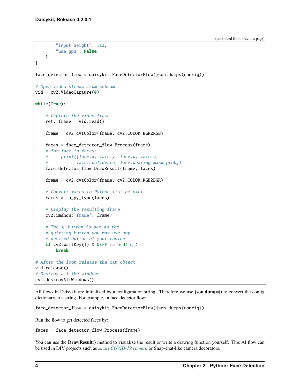```
"input_height": 112,
        "use_gpu": False
   }
}
face_detector_flow = daisykit.FaceDetectorFlow(json.dumps(config))
# Open video stream from webcam
vid = cv2.VideoCapture(0)while(True):
    # Capture the video frame
   ret, frame = vid.read()
   frame = cv2.cvtColor(frame, cv2.COLOR_BGR2RGB)
   faces = face_detector_flow.Process(frame)
    # for face in faces:
    # print([face.x, face.y, face.w, face.h,
    # face.confidence, face.wearing_mask_prob])
   face_detector_flow.DrawResult(frame, faces)
   frame = cv2.cvtColor(frame, cv2.COLOR_RGB2BGR)
   # Convert faces to Python list of dict
   faces = to.py_type(faces)# Display the resulting frame
   cv2.imshow('frame', frame)
   # The 'q' button is set as the
   # quitting button you may use any
    # desired button of your choice
   if cv2.waitKey(1) & 0xFF == ord('q'):
       break
# After the loop release the cap object
vid.release()
# Destroy all the windows
cv2.destroyAllWindows()
```
All flows in Daisykit are initialized by a configuration string. Therefore we use **json.dumps()** to convert the config dictionary to a string. For example, in face detector flow:

face\_detector\_flow = daisykit.FaceDetectorFlow(json.dumps(config))

Run the flow to get detected faces by:

faces = face\_detector\_flow.Process(frame)

You can use the **DrawResult**() method to visualize the result or write a drawing function yourself. This AI flow can be used in DIY projects such as *[smart COVID-19 camera](https://github.com/vietanhdev/smart-face-mask-cam)* or Snap-chat-like camera decorators.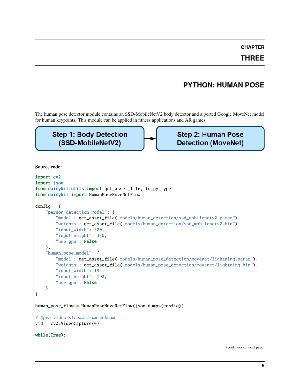**THREE**

### **PYTHON: HUMAN POSE**

<span id="page-8-0"></span>The human pose detector module contains an SSD-MobileNetV2 body detector and a ported Google MoveNet model for human keypoints. This module can be applied in fitness applications and AR games.

### **Step 1: Body Detection** (SSD-MobileNetV2)

**Step 2: Human Pose Detection (MoveNet)** 

**Source code:**

```
import cv2
import json
from daisykit.utils import get_asset_file, to_py_type
from daisykit import HumanPoseMoveNetFlow
config = {
    "person_detection_model": {
        "model": get_asset_file("models/human_detection/ssd_mobilenetv2.param"),
        "weights": get_asset_file("models/human_detection/ssd_mobilenetv2.bin"),
        "input_width": 320,
        "input_height": 320,
        "use_gpu": False
    },
    "human_pose_model": {
        "model": get_asset_file("models/human_pose_detection/movenet/lightning.param"),
        "weights": get_asset_file("models/human_pose_detection/movenet/lightning.bin"),
        "input_width": 192,
        "input_height": 192,
        "use_gpu": False
    }
}
human_pose_flow = HumanPoseMoveNetFlow(json.dumps(config))
# Open video stream from webcam
vid = cv2.VideoCapture(0)
while(True):
```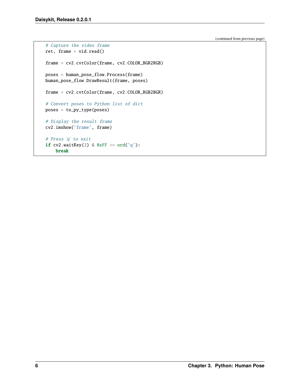```
# Capture the video frame
ret, frame = vid.read()
frame = cv2.cvtColor(frame, cv2.COLOR_BGR2RGB)
poses = human_pose_flow.Process(frame)
human_pose_flow.DrawResult(frame, poses)
frame = cv2.cvtColor(frame, cv2.COLOR_RGB2BGR)
# Convert poses to Python list of dict
poses = to_py_type(poses)
# Display the result frame
cv2.imshow('frame', frame)
# Press 'q' to exit
if cv2.waitKey(1) & 0xFF == ord('q'):
   break
```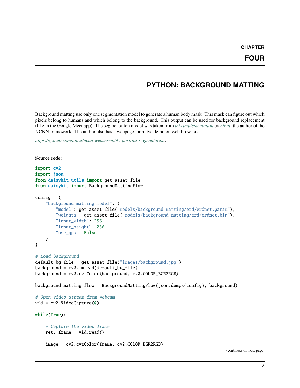### **PYTHON: BACKGROUND MATTING**

<span id="page-10-0"></span>Background matting use only one segmentation model to generate a human body mask. This mask can figure out which pixels belong to humans and which belong to the background. This output can be used for background replacement (like in the Google Meet app). The segmentation model was taken from *[this implementation](https://github.com/nihui/ncnn-webassembly-portrait-segmentation)* by *[nihui](https://github.com/nihui)*, the author of the NCNN framework. The author also has a webpage for a live demo on web browsers.

*<https://github.com/nihui/ncnn-webassembly-portrait-segmentation>*.

**Source code:**

```
import cv2
import json
from daisykit.utils import get_asset_file
from daisykit import BackgroundMattingFlow
config = \{"background_matting_model": {
        "model": get_asset_file("models/background_matting/erd/erdnet.param"),
        "weights": get_asset_file("models/background_matting/erd/erdnet.bin"),
        "input_width": 256,
        "input_height": 256,
        "use_gpu": False
   }
}
# Load background
default_bg_file = get\_asset_file("images/background.jpg")background = cv2 .imread(default_bq_file)background = cv2.cvtColor(background, cv2.COLOR_BGR2RGB)
background_matting_flow = BackgroundMattingFlow(json.dumps(config), background)
# Open video stream from webcam
vid = cv2.VideoCapture(0)while(True):
    # Capture the video frame
   ret, frame = vid.read()image = cv2.cvtColor(frame, cv2.COLOR_BGR2RGB)
```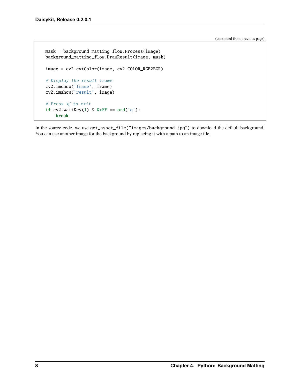```
mask = background_matting_flow.Process(image)
background_matting_flow.DrawResult(image, mask)
image = cv2.cvtColor(image, cv2.COLOR_RGB2BGR)
# Display the result frame
cv2.imshow('frame', frame)
cv2.imshow('result', image)
# Press 'q' to exit
if cv2.waitKey(1) & 0xFF == ord('q'):
   break
```
In the source code, we use get\_asset\_file("images/background.jpg") to download the default background. You can use another image for the background by replacing it with a path to an image file.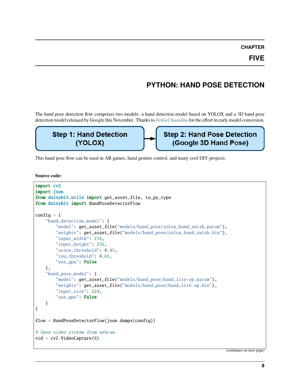# **PYTHON: HAND POSE DETECTION**

<span id="page-12-0"></span>The hand pose detection flow comprises two models: a hand detection model based on YOLOX and a 3D hand pose detection model released by Google this November. Thanks to *[FeiGeChuanShu](https://github.com/FeiGeChuanShu)* for the effort in early model conversion.

# **Step 1: Hand Detection** (YOLOX)

**Step 2: Hand Pose Detection** (Google 3D Hand Pose)

This hand pose flow can be used in AR games, hand gesture control, and many cool DIY projects.

**Source code:**

```
import cv2
import json
from daisykit.utils import get_asset_file, to_py_type
from daisykit import HandPoseDetectorFlow
config = {
    "hand_detection_model": {
        "model": get_asset_file("models/hand_pose/yolox_hand_swish.param"),
        "weights": get_asset_file("models/hand_pose/yolox_hand_swish.bin"),
        "input_width": 256,
        "input_height": 256,
        "score_threshold": 0.45,
        "iou_threshold": 0.65,
        "use_gpu": False
   },
    "hand_pose_model": {
        "model": get_asset_file("models/hand_pose/hand_lite-op.param"),
        "weights": get_asset_file("models/hand_pose/hand_lite-op.bin"),
        "input_size": 224,
        "use_gpu": False
   }
}
flow = HandPoseDetectorFlow(json.dumps(config))
# Open video stream from webcam
vid = cv2.VideoCapture(0)
```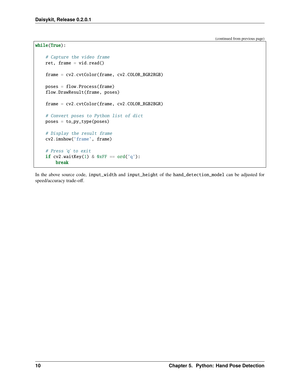```
while(True):
   # Capture the video frame
   ret, frame = vid.read()
   frame = cv2.cvtColor(frame, cv2.COLOR_BGR2RGB)
   poses = flow.Process(frame)
   flow.DrawResult(frame, poses)
   frame = cv2.cvtColor(frame, cv2.COLOR_RGB2BGR)
   # Convert poses to Python list of dict
   poses = to_py_type(poses)
   # Display the result frame
   cv2.imshow('frame', frame)
   # Press 'q' to exit
   if cv2.waitKey(1) & 0xFF == ord('q'):
       break
```
In the above source code, input\_width and input\_height of the hand\_detection\_model can be adjusted for speed/accuracy trade-off.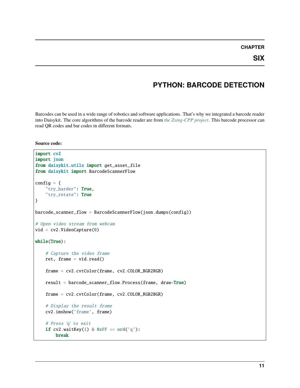### **PYTHON: BARCODE DETECTION**

<span id="page-14-0"></span>Barcodes can be used in a wide range of robotics and software applications. That's why we integrated a barcode reader into Daisykit. The core algorithms of the barcode reader are from *[the Zxing-CPP project](https://github.com/nu-book/zxing-cpp)*. This barcode processor can read QR codes and bar codes in different formats.

#### **Source code:**

```
import cv2
import json
from daisykit.utils import get_asset_file
from daisykit import BarcodeScannerFlow
config = \{"try_harder": True,
    "try_rotate": True
}
barcode_scanner_flow = BarcodeScannerFlow(json.dumps(config))
# Open video stream from webcam
vid = cv2.VideoCapture(0)while(True):
    # Capture the video frame
    ret, frame = vid.read()
    frame = cv2.cvtColor(frame, cv2.COLOR_BGR2RGB)
    result = barcode_scanner_flow.Process(frame, draw=True)
    frame = cv2.cvtColor(frame, cv2.COLOR_RGB2BGR)
    # Display the result frame
    cv2.imshow('frame', frame)
    # Press 'q' to exit
    if cv2.waitKey(1) & 0xFF == ord('q'):
        break
```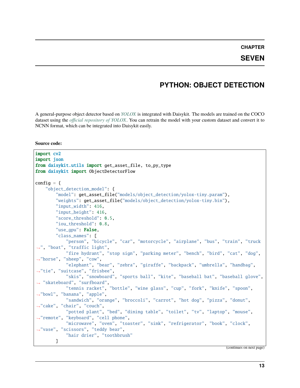#### **SEVEN**

### **PYTHON: OBJECT DETECTION**

<span id="page-16-0"></span>A general-purpose object detector based on *[YOLOX](https://github.com/Megvii-BaseDetection/YOLOX)* is integrated with Daisykit. The models are trained on the COCO dataset using the *[official repository of YOLOX](https://github.com/Megvii-BaseDetection/YOLOX)*. You can retrain the model with your custom dataset and convert it to NCNN format, which can be integrated into Daisykit easily.

#### **Source code:**

```
import cv2
import json
from daisykit.utils import get_asset_file, to_py_type
from daisykit import ObjectDetectorFlow
config = {
    "object_detection_model": {
        "model": get_asset_file("models/object_detection/yolox-tiny.param"),
        "weights": get_asset_file("models/object_detection/yolox-tiny.bin"),
        "input_width": 416,
        "input_height": 416,
        "score_threshold": 0.5,
        "iou_threshold": 0.8,
        "use_gpu" False,
        "class_names": [
            "person", "bicycle", "car", "motorcycle", "airplane", "bus", "train", "truck
˓→", "boat", "traffic light",
            "fire hydrant", "stop sign", "parking meter", "bench", "bird", "cat", "dog",
˓→"horse", "sheep", "cow",
            "elephant", "bear", "zebra", "giraffe", "backpack", "umbrella", "handbag",
˓→"tie", "suitcase", "frisbee",
            "skis", "snowboard", "sports ball", "kite", "baseball bat", "baseball glove",
˓→ "skateboard", "surfboard",
            "tennis racket", "bottle", "wine glass", "cup", "fork", "knife", "spoon",
˓→"bowl", "banana", "apple",
            "sandwich", "orange", "broccoli", "carrot", "hot dog", "pizza", "donut",
˓→"cake", "chair", "couch",
            "potted plant", "bed", "dining table", "toilet", "tv", "laptop", "mouse",
˓→"remote", "keyboard", "cell phone",
            "microwave", "oven", "toaster", "sink", "refrigerator", "book", "clock",
˓→"vase", "scissors", "teddy bear",
            "hair drier", "toothbrush"
        \mathbf{I}
```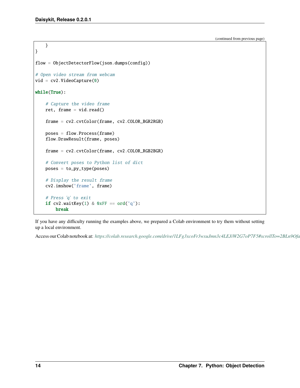```
}
}
flow = ObjectDetectorFlow(json.dumps(config))
# Open video stream from webcam
vid = cv2.VideoCapture(0)
while(True):
   # Capture the video frame
   ret, frame = vid.read()
   frame = cv2.cvtColor(frame, cv2.COLOR_BGR2RGB)
   poses = flow.Process(frame)
   flow.DrawResult(frame, poses)
   frame = cv2.cvtColor(frame, cv2.COLOR_RGB2BGR)
   # Convert poses to Python list of dict
   poses = to_py_type(poses)
   # Display the result frame
   cv2.imshow('frame', frame)
   # Press 'q' to exit
   if cv2.waitKey(1) & 0xFF == ord('q'):
       break
```
If you have any difficulty running the examples above, we prepared a Colab environment to try them without setting up a local environment.

Access our Colab notebook at: https://colab.research.google.com/drive/1LFg3xcoFr3wxuJmn3c4LEJiW2G7oP7F5#scrollTo=2BLn9Ofa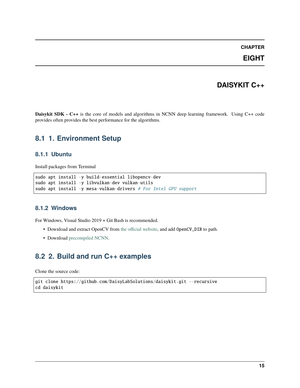**EIGHT**

### **DAISYKIT C++**

<span id="page-18-0"></span>**Daisykit SDK - C++** is the core of models and algorithms in NCNN deep learning framework. Using C++ code provides often provides the best performance for the algorithms.

### <span id="page-18-1"></span>**8.1 1. Environment Setup**

#### **8.1.1 Ubuntu**

Install packages from Terminal

```
sudo apt install -y build-essential libopencv-dev
sudo apt install -y libvulkan-dev vulkan-utils
sudo apt install -y mesa-vulkan-drivers # For Intel GPU support
```
#### **8.1.2 Windows**

For Windows, Visual Studio 2019 + Git Bash is recommended.

- Download and extract OpenCV from [the official website,](https://opencv.org/releases/) and add OpenCV\_DIR to path.
- Download [precompiled NCNN.](https://github.com/Tencent/ncnn/releases)

### <span id="page-18-2"></span>**8.2 2. Build and run C++ examples**

Clone the source code:

```
git clone https://github.com/DaisyLabSolutions/daisykit.git --recursive
cd daisykit
```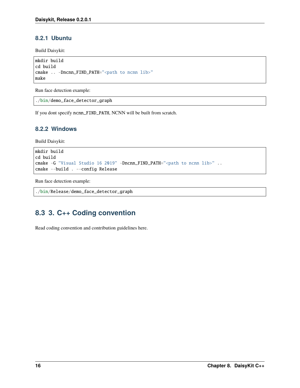### **8.2.1 Ubuntu**

Build Daisykit:

```
mkdir build
cd build
cmake .. -Dncnn_FIND_PATH="<path to ncnn lib>"
make
```
Run face detection example:

```
./bin/demo_face_detector_graph
```
If you dont specify ncnn\_FIND\_PATH, NCNN will be built from scratch.

#### **8.2.2 Windows**

Build Daisykit:

```
mkdir build
cd build
cmake -G "Visual Studio 16 2019" -Dncnn_FIND_PATH="<path to ncnn lib>" ..
cmake --build . --config Release
```
Run face detection example:

```
./bin/Release/demo_face_detector_graph
```
### <span id="page-19-0"></span>**8.3 3. C++ Coding convention**

Read coding convention and contribution guidelines here.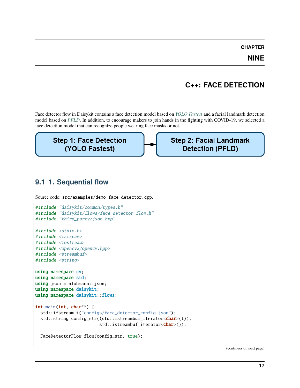**NINE**

### **C++: FACE DETECTION**

<span id="page-20-0"></span>Face detector flow in Daisykit contains a face detection model based on *[YOLO Fastest](https://github.com/dog-qiuqiu/Yolo-Fastest)* and a facial landmark detection model based on *[PFLD](https://github.com/polarisZhao/PFLD-pytorch)*. In addition, to encourage makers to join hands in the fighting with COVID-19, we selected a face detection model that can recognize people wearing face masks or not.

**Step 1: Face Detection** (YOLO Fastest)

**Step 2: Facial Landmark Detection (PFLD)** 

### <span id="page-20-1"></span>**9.1 1. Sequential flow**

```
Source code: src/examples/demo_face_detector.cpp.
```

```
#include "daisykit/common/types.h"
#include "daisykit/flows/face_detector_flow.h"
#include "third_party/json.hpp"
#include <stdio.h>
#include <fstream>
#include <iostream>
#include <opencv2/opencv.hpp>
#include <streambuf>
#include <string>
using namespace cv;
using namespace std;
using json = nlohmann::json;using namespace daisykit;
using namespace daisykit::flows;
int main(int, char**) {
  std::ifstream t("configs/face_detector_config.json");
  std::string config_str((std::istreambuf_iterator<char>(t)),
                         std::istreambuf_iterator<char>());
  FaceDetectorFlow flow(config_str, true);
```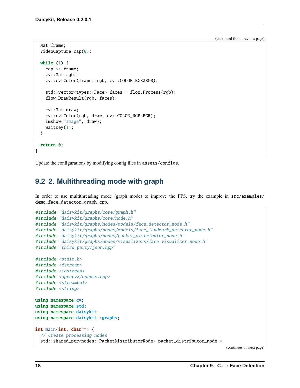```
Mat frame;
  VideoCapture cap(0);
  while (1) {
    cap >> frame;
    cv::Mat rgb;
    cv::cvtColor(frame, rgb, cv::COLOR_BGR2RGB);
    std::vector<types::Face> faces = flow.Process(rgb);
    flow.DrawResult(rgb, faces);
    cv::Mat draw;
    cv::cvtColor(rgb, draw, cv::COLOR_RGB2BGR);
    imshow("Image", draw);
    waitKey(1);
  }
 return 0;
}
```
Update the configurations by modifying config files in assets/configs.

### <span id="page-21-0"></span>**9.2 2. Multithreading mode with graph**

In order to use multithreading mode (graph mode) to improve the FPS, try the example in  $src/examples/$ demo\_face\_detector\_graph.cpp.

```
#include "daisykit/graphs/core/graph.h"
#include "daisykit/graphs/core/node.h"
#include "daisykit/graphs/nodes/models/face_detector_node.h"
#include "daisykit/graphs/nodes/models/face_landmark_detector_node.h"
#include "daisykit/graphs/nodes/packet_distributor_node.h"
#include "daisykit/graphs/nodes/visualizers/face_visualizer_node.h"
#include "third_party/json.hpp"
#include <stdio.h>
#include <fstream>
#include <iostream>
#include <opencv2/opencv.hpp>
#include <streambuf>
#include <string>
using namespace cv;
using namespace std;
using namespace daisykit;
using namespace daisykit::graphs;
int main(int, char**) {
  // Create processing nodes
  std::shared_ptr<nodes::PacketDistributorNode> packet_distributor_node =
```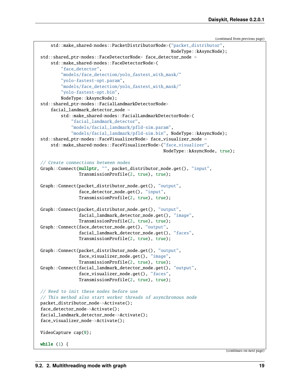```
std::make_shared<nodes::PacketDistributorNode>("packet_distributor",
                                                   NodeType::kAsyncNode);
std::shared_ptr<nodes::FaceDetectorNode> face_detector_node =
    std::make_shared<nodes::FaceDetectorNode>(
        "face_detector",
        "models/face_detection/yolo_fastest_with_mask/"
        "yolo-fastest-opt.param",
        "models/face_detection/yolo_fastest_with_mask/"
        "yolo-fastest-opt.bin",
        NodeType::kAsyncNode);
std::shared_ptr<nodes::FacialLandmarkDetectorNode>
    facial_landmark_detector_node =
        std::make_shared<nodes::FacialLandmarkDetectorNode>(
            "facial_landmark_detector",
            "models/facial_landmark/pfld-sim.param",
            "models/facial_landmark/pfld-sim.bin", NodeType::kAsyncNode);
std::shared_ptr<nodes::FaceVisualizerNode> face_visualizer_node =
    std::make_shared<nodes::FaceVisualizerNode>("face_visualizer",
                                                NodeType::kAsyncNode, true);
// Create connections between nodes
Graph::Connect(nullptr, "", packet_distributor_node.get(), "input",
               TransmissionProfile(2, true), true);
Graph::Connect(packet_distributor_node.get(), "output",
               face_detector_node.get(), "input",
               TransmissionProfile(2, true), true);
Graph::Connect(packet_distributor_node.get(), "output",
               facial_landmark_detector_node.get(), "image",
               TransmissionProfile(2, true), true);
Graph::Connect(face_detector_node.get(), "output",
               facial_landmark_detector_node.get(), "faces",
               TransmissionProfile(2, true), true);
Graph::Connect(packet_distributor_node.get(), "output",
               face_visualizer_node.get(), "image",
               TransmissionProfile(2, true), true);
Graph::Connect(facial_landmark_detector_node.get(), "output",
               face_visualizer_node.get(), "faces",
               TransmissionProfile(2, true), true);
// Need to init these nodes before use
// This method also start worker threads of asynchronous node
packet_distributor_node->Activate();
face_detector_node->Activate();
facial_landmark_detector_node->Activate();
face_visualizer_node->Activate();
VideoCapture cap(0);
while (1) {
```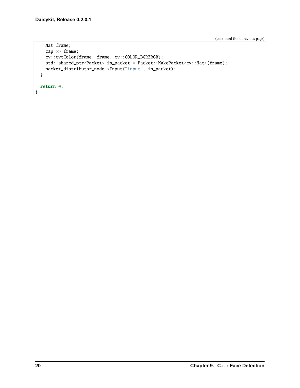}

(continued from previous page)

```
Mat frame;
  cap >> frame;
  cv::cvtColor(frame, frame, cv::COLOR_BGR2RGB);
  std::shared_ptr<Packet> in_packet = Packet::MakePacket<cv::Mat>(frame);
  packet_distributor_node->Input("input", in_packet);
}
return 0;
```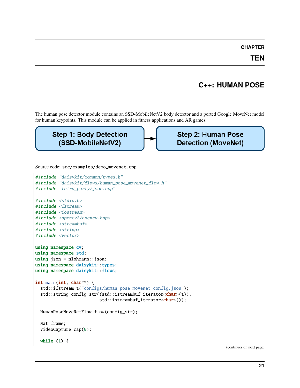**TEN**

### **C++: HUMAN POSE**

<span id="page-24-0"></span>The human pose detector module contains an SSD-MobileNetV2 body detector and a ported Google MoveNet model for human keypoints. This module can be applied in fitness applications and AR games.

### **Step 1: Body Detection** (SSD-MobileNetV2)

**Step 2: Human Pose Detection (MoveNet)** 

Source code: src/examples/demo\_movenet.cpp.

```
#include "daisykit/common/types.h"
#include "daisykit/flows/human_pose_movenet_flow.h"
#include "third_party/json.hpp"
#include <stdio.h>
#include <fstream>
#include <iostream>
#include <opencv2/opencv.hpp>
#include <streambuf>
#include <string>
#include <vector>
using namespace cv;
using namespace std;
using json = n1ohmann::json;using namespace daisykit::types;
using namespace daisykit::flows;
int main(int, char**) {
  std::ifstream t("configs/human_pose_movenet_config.json");
  std::string config_str((std::istreambuf_iterator<char>(t)),
                         std::istreambuf_iterator<char>());
  HumanPoseMoveNetFlow flow(config_str);
  Mat frame;
  VideoCapture cap(0);
  while (1) {
```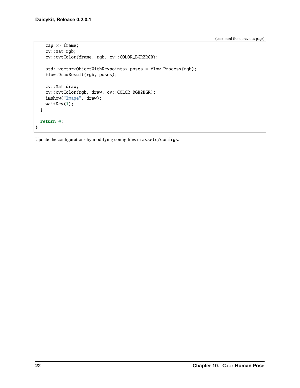}

(continued from previous page)

```
cap >> frame;
  cv::Mat rgb;
  cv::cvtColor(frame, rgb, cv::COLOR_BGR2RGB);
  std::vector<ObjectWithKeypoints> poses = flow.Process(rgb);
  flow.DrawResult(rgb, poses);
  cv::Mat draw;
  cv::cvtColor(rgb, draw, cv::COLOR_RGB2BGR);
  imshow("Image", draw);
  waitKey(1);
}
return 0;
```
Update the configurations by modifying config files in assets/configs.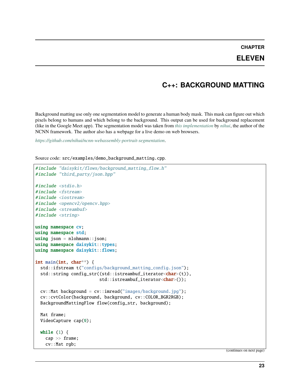### **ELEVEN**

### **C++: BACKGROUND MATTING**

<span id="page-26-0"></span>Background matting use only one segmentation model to generate a human body mask. This mask can figure out which pixels belong to humans and which belong to the background. This output can be used for background replacement (like in the Google Meet app). The segmentation model was taken from *[this implementation](https://github.com/nihui/ncnn-webassembly-portrait-segmentation)* by *[nihui](https://github.com/nihui)*, the author of the NCNN framework. The author also has a webpage for a live demo on web browsers.

*<https://github.com/nihui/ncnn-webassembly-portrait-segmentation>*.

Source code: src/examples/demo\_background\_matting.cpp.

```
#include "daisykit/flows/background_matting_flow.h"
#include "third_party/json.hpp"
#include <stdio.h>
#include <fstream>
#include <iostream>
#include <opencv2/opencv.hpp>
#include <streambuf>
#include <string>
using namespace cv;
using namespace std;
using json = n1ohmann::json;using namespace daisykit::types;
using namespace daisykit::flows;
int main(int, char**) {
 std::ifstream t("configs/background_matting_config.json");
  std::string config_str((std::istreambuf_iterator<char>(t)),
                         std::istreambuf_iterator<char>());
  cv::Mat background = cv::imread("images/background.jpg");
  cv::cvtColor(background, background, cv::COLOR_BGR2RGB);
  BackgroundMattingFlow flow(config_str, background);
 Mat frame;
  VideoCapture cap(0);
 while (1) {
   cap >> frame;
   cv::Mat rgb;
```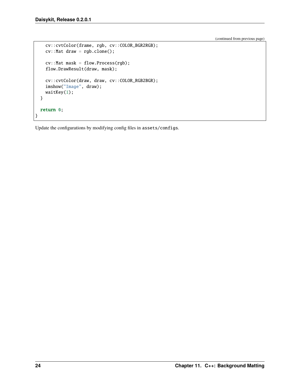}

(continued from previous page)

```
cv::cvtColor(frame, rgb, cv::COLOR_BGR2RGB);
  cv::Mat draw = rgb.close();
  cv::Mat mask = flow.Process(rgb);
  flow.DrawResult(draw, mask);
  cv::cvtColor(draw, draw, cv::COLOR_RGB2BGR);
  imshow("Image", draw);
  waitKey(1);
}
return 0;
```
Update the configurations by modifying config files in assets/configs.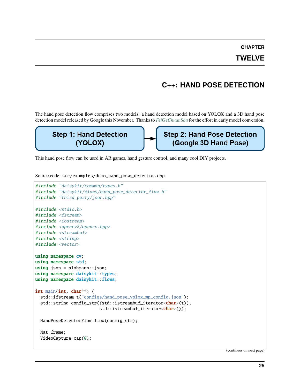#### **TWELVE**

### **C++: HAND POSE DETECTION**

<span id="page-28-0"></span>The hand pose detection flow comprises two models: a hand detection model based on YOLOX and a 3D hand pose detection model released by Google this November. Thanks to *[FeiGeChuanShu](https://github.com/FeiGeChuanShu)* for the effort in early model conversion.

#### **Step 1: Hand Detection Step 2: Hand Pose Detection** (YOLOX) (Google 3D Hand Pose)

This hand pose flow can be used in AR games, hand gesture control, and many cool DIY projects.

Source code: src/examples/demo\_hand\_pose\_detector.cpp.

```
#include "daisykit/common/types.h"
#include "daisykit/flows/hand_pose_detector_flow.h"
#include "third_party/json.hpp"
#include <stdio.h>
#include <fstream>
#include <iostream>
#include <opencv2/opencv.hpp>
#include <streambuf>
#include <string>
#include <vector>
using namespace cv;
using namespace std;
using json = nlohmann::json;using namespace daisykit::types;
using namespace daisykit::flows;
int main(int, char**) {
  std::ifstream t("configs/hand_pose_yolox_mp_config.json");
  std::string config_str((std::istreambuf_iterator<char>(t)),
                         std::istreambuf_iterator<char>());
 HandPoseDetectorFlow flow(config_str);
 Mat frame;
  VideoCapture cap(0);
```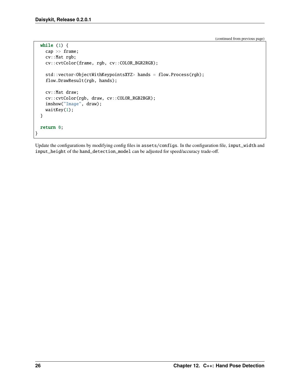```
while (1) {
    cap >> frame;
    cv::Mat rgb;
    cv::cvtColor(frame, rgb, cv::COLOR_BGR2RGB);
    std::vector<ObjectWithKeypointsXYZ> hands = flow.Process(rgb);
    flow.DrawResult(rgb, hands);
   cv::Mat draw;
    cv::cvtColor(rgb, draw, cv::COLOR_RGB2BGR);
    imshow("Image", draw);
    waitKey(1);
  }
  return 0;
}
```
Update the configurations by modifying config files in assets/configs. In the configuration file, input\_width and input\_height of the hand\_detection\_model can be adjusted for speed/accuracy trade-off.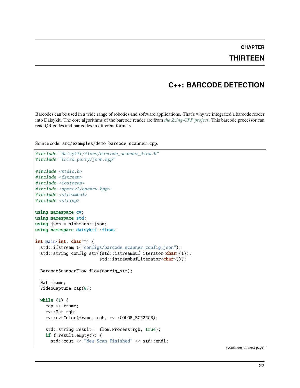### **THIRTEEN**

### **C++: BARCODE DETECTION**

<span id="page-30-0"></span>Barcodes can be used in a wide range of robotics and software applications. That's why we integrated a barcode reader into Daisykit. The core algorithms of the barcode reader are from *[the Zxing-CPP project](https://github.com/nu-book/zxing-cpp)*. This barcode processor can read QR codes and bar codes in different formats.

```
Source code: src/examples/demo_barcode_scanner.cpp.
```

```
#include "daisykit/flows/barcode_scanner_flow.h"
#include "third_party/json.hpp"
#include <stdio.h>
#include <fstream>
#include <iostream>
#include <opencv2/opencv.hpp>
#include <streambuf>
#include <string>
using namespace cv;
using namespace std;
using json = nlohmann::json;using namespace daisykit::flows;
int main(int, char**) {
 std::ifstream t("configs/barcode_scanner_config.json");
  std::string config_str((std::istreambuf_iterator<char>(t)),
                         std::istreambuf_iterator<char>());
 BarcodeScannerFlow flow(config_str);
 Mat frame;
 VideoCapture cap(0);
 while (1) {
   cap >> frame;
   cv::Mat rgb;
   cv::cvtColor(frame, rgb, cv::COLOR_BGR2RGB);
   std::string result = flow.Process(rgb, true);
   if (!result.empty()) {
     std::cout << "New Scan Finished" << std::endl;
```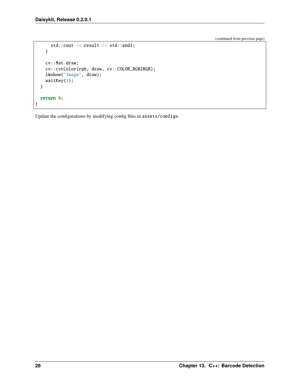```
std::cout << result << std::endl;
    }
    cv::Mat draw;
    cv::cvtColor(rgb, draw, cv::COLOR_RGB2BGR);
   imshow("Image", draw);
    waitKey(1);
  }
 return 0;
}
```
Update the configurations by modifying config files in assets/configs.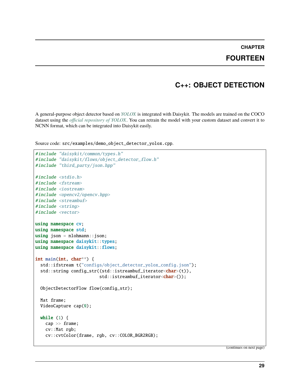### **FOURTEEN**

### **C++: OBJECT DETECTION**

<span id="page-32-0"></span>A general-purpose object detector based on *[YOLOX](https://github.com/Megvii-BaseDetection/YOLOX)* is integrated with Daisykit. The models are trained on the COCO dataset using the *[official repository of YOLOX](https://github.com/Megvii-BaseDetection/YOLOX)*. You can retrain the model with your custom dataset and convert it to NCNN format, which can be integrated into Daisykit easily.

Source code: src/examples/demo\_object\_detector\_yolox.cpp.

```
#include "daisykit/common/types.h"
#include "daisykit/flows/object_detector_flow.h"
#include "third_party/json.hpp"
#include <stdio.h>
#include <fstream>
#include <iostream>
#include <opencv2/opencv.hpp>
#include <streambuf>
#include <string>
#include <vector>
using namespace cv;
using namespace std;
using json = nlohmann::json;using namespace daisykit::types;
using namespace daisykit::flows;
int main(int, char**) {
 std::ifstream t("configs/object_detector_yolox_config.json");
 std::string config_str((std::istreambuf_iterator<char>(t)),
                         std::istreambuf_iterator<char>());
  ObjectDetectorFlow flow(config_str);
 Mat frame;
 VideoCapture cap(0);
 while (1) {
   cap >> frame;
   cv::Mat rgb;
   cv::cvtColor(frame, rgb, cv::COLOR_BGR2RGB);
```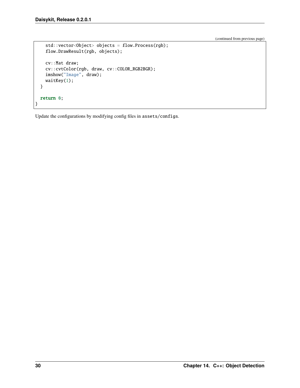}

(continued from previous page)

```
std::vector<Object> objects = flow.Process(rgb);
  flow.DrawResult(rgb, objects);
  cv::Mat draw;
  cv::cvtColor(rgb, draw, cv::COLOR_RGB2BGR);
  imshow("Image", draw);
  waitKey(1);
}
return 0;
```
Update the configurations by modifying config files in assets/configs.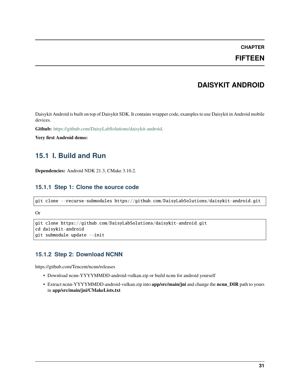### **FIFTEEN**

### **DAISYKIT ANDROID**

<span id="page-34-0"></span>Daisykit Android is built on top of Daisykit SDK. It contains wrapper code, examples to use Daisykit in Android mobile devices.

**Github:** [https://github.com/DaisyLabSolutions/daisykit-android.](https://github.com/DaisyLabSolutions/daisykit-android)

**Very first Android demo:**

### <span id="page-34-1"></span>**15.1 I. Build and Run**

**Dependencies:** Android NDK 21.3, CMake 3.10.2.

#### **15.1.1 Step 1: Clone the source code**

```
git clone --recurse-submodules https://github.com/DaisyLabSolutions/daisykit-android.git
```
#### Or

```
git clone https://github.com/DaisyLabSolutions/daisykit-android.git
cd daisykit-android
git submodule update --init
```
#### **15.1.2 Step 2: Download NCNN**

https://github.com/Tencent/ncnn/releases

- Download ncnn-YYYYMMDD-android-vulkan.zip or build ncnn for android yourself
- Extract ncnn-YYYYMMDD-android-vulkan.zip into **app/src/main/jni** and change the **ncnn\_DIR** path to yours in **app/src/main/jni/CMakeLists.txt**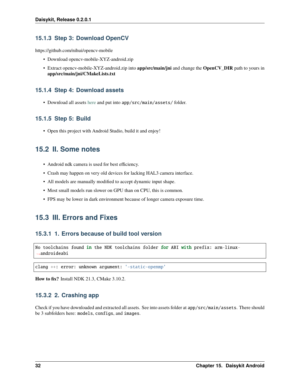#### **15.1.3 Step 3: Download OpenCV**

https://github.com/nihui/opencv-mobile

- Download opencv-mobile-XYZ-android.zip
- Extract opencv-mobile-XYZ-android.zip into **app/src/main/jni** and change the **OpenCV\_DIR** path to yours in **app/src/main/jni/CMakeLists.txt**

#### **15.1.4 Step 4: Download assets**

• Download all assets [here](https://drive.google.com/drive/folders/1ZAM8W4hHkV7-zmfHFjIGLAuso3QajUfW?usp=sharing) and put into app/src/main/assets/ folder.

#### **15.1.5 Step 5: Build**

• Open this project with Android Studio, build it and enjoy!

### <span id="page-35-0"></span>**15.2 II. Some notes**

- Android ndk camera is used for best efficiency.
- Crash may happen on very old devices for lacking HAL3 camera interface.
- All models are manually modified to accept dynamic input shape.
- Most small models run slower on GPU than on CPU, this is common.
- FPS may be lower in dark environment because of longer camera exposure time.

### <span id="page-35-1"></span>**15.3 III. Errors and Fixes**

#### **15.3.1 1. Errors because of build tool version**

```
No toolchains found in the NDK toolchains folder for ABI with prefix: arm-linux-
˓→androideabi
```
clang ++: error: unknown argument: '-static-openmp'

**How to fix?** Install NDK 21.3, CMake 3.10.2.

#### **15.3.2 2. Crashing app**

Check if you have downloaded and extracted all assets. See into assets folder at app/src/main/assets. There should be 3 subfolders here: models, configs, and images.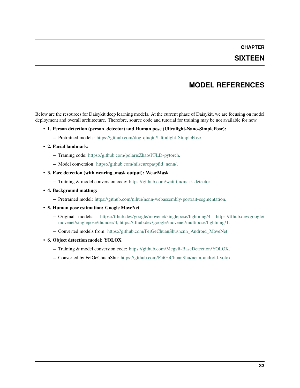### **SIXTEEN**

### **MODEL REFERENCES**

<span id="page-36-0"></span>Below are the resources for Daisykit deep learning models. At the current phase of Daisykit, we are focusing on model deployment and overall architecture. Therefore, source code and tutorial for training may be not available for now.

- **1. Person detection (person\_detector) and Human pose (Ultralight-Nano-SimplePose):**
	- **–** Pretrained models: [https://github.com/dog-qiuqiu/Ultralight-SimplePose.](https://github.com/dog-qiuqiu/Ultralight-SimplePose)

#### • **2. Facial landmark:**

- **–** Training code: [https://github.com/polarisZhao/PFLD-pytorch.](https://github.com/polarisZhao/PFLD-pytorch)
- **–** Model conversion: [https://github.com/nilseuropa/pfld\\_ncnn/.](https://github.com/nilseuropa/pfld_ncnn/)
- **3. Face detection (with wearing\_mask output): WearMask**
	- **–** Training & model conversion code: [https://github.com/waittim/mask-detector.](https://github.com/waittim/mask-detector)
- **4. Background matting:**
	- **–** Pretrained model: [https://github.com/nihui/ncnn-webassembly-portrait-segmentation.](https://github.com/nihui/ncnn-webassembly-portrait-segmentation)
- **5. Human pose estimation: Google MoveNet**
	- **–** Original models: [https://tfhub.dev/google/movenet/singlepose/lightning/4,](https://tfhub.dev/google/movenet/singlepose/lightning/4) [https://tfhub.dev/google/](https://tfhub.dev/google/movenet/singlepose/thunder/4) [movenet/singlepose/thunder/4,](https://tfhub.dev/google/movenet/singlepose/thunder/4) [https://tfhub.dev/google/movenet/multipose/lightning/1.](https://tfhub.dev/google/movenet/multipose/lightning/1)
	- **–** Converted models from: [https://github.com/FeiGeChuanShu/ncnn\\_Android\\_MoveNet.](https://github.com/FeiGeChuanShu/ncnn_Android_MoveNet)
- **6. Object detection model: YOLOX**
	- **–** Training & model conversion code: [https://github.com/Megvii-BaseDetection/YOLOX.](https://github.com/Megvii-BaseDetection/YOLOX)
	- **–** Converted by FeiGeChuanShu: [https://github.com/FeiGeChuanShu/ncnn-android-yolox.](https://github.com/FeiGeChuanShu/ncnn-android-yolox)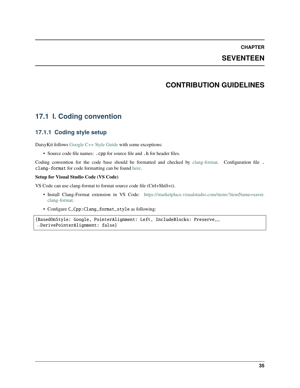### **SEVENTEEN**

### **CONTRIBUTION GUIDELINES**

### <span id="page-38-1"></span><span id="page-38-0"></span>**17.1 I. Coding convention**

#### **17.1.1 Coding style setup**

DaisyKit follows [Google C++ Style Guide](https://google.github.io/styleguide/cppguide.html) with some exceptions:

• Source code file names: .cpp for source file and .h for header files.

Coding convention for the code base should be formatted and checked by [clang-format.](https://clang.llvm.org/docs/ClangFormat.html) Configuration file . clang-format for code formatting can be found [here.](https://github.com/DaisyLabSolutions/daisykit/blob/master/.clang-format)

#### **Setup for Visual Studio Code (VS Code)**

VS Code can use clang-format to format source code file (Ctrl+Shift+i).

- Install Clang-Format extension in VS Code: [https://marketplace.visualstudio.com/items?itemName=xaver.](https://marketplace.visualstudio.com/items?itemName=xaver.clang-format) [clang-format.](https://marketplace.visualstudio.com/items?itemName=xaver.clang-format)
- Configure C\_Cpp:Clang\_format\_style as following:

```
{BasedOnStyle: Google, PointerAlignment: Left, IncludeBlocks: Preserve,␣
˓→DerivePointerAlignment: false}
```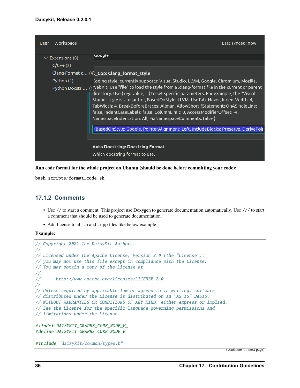| <b>User</b> | Workspace                    |                                                                                                                                                                                                                                                                                                                                                                                                                                                                                                                                                                                        | Last synced: now |
|-------------|------------------------------|----------------------------------------------------------------------------------------------------------------------------------------------------------------------------------------------------------------------------------------------------------------------------------------------------------------------------------------------------------------------------------------------------------------------------------------------------------------------------------------------------------------------------------------------------------------------------------------|------------------|
|             |                              | Google                                                                                                                                                                                                                                                                                                                                                                                                                                                                                                                                                                                 |                  |
|             | $\vee$ Extensions (8)        |                                                                                                                                                                                                                                                                                                                                                                                                                                                                                                                                                                                        |                  |
|             | $C/C++(2)$                   |                                                                                                                                                                                                                                                                                                                                                                                                                                                                                                                                                                                        |                  |
|             |                              | Clang-Format c (4): Cpp: Clang format style                                                                                                                                                                                                                                                                                                                                                                                                                                                                                                                                            |                  |
|             | Python (1)<br>Python Docstri | .oding style, currently supports: Visual Studio, LLVM, Google, Chromium, Mozilla,<br>$(1)$ VebKit. Use "file" to load the style from a .clang-format file in the current or parent<br>directory. Use {key: value, } to set specific parameters. For example, the "Visual<br>Studio" style is similar to: { BasedOnStyle: LLVM, UseTab: Never, IndentWidth: 4,<br>TabWidth: 4, BreakBeforeBraces: Allman, AllowShortIfStatementsOnASingleLine:<br>false, IndentCaseLabels: false, ColumnLimit: 0, AccessModifierOffset: -4,<br>NamespaceIndentation: All, FixNamespaceComments: false } |                  |
|             |                              | {BasedOnStyle: Google, PointerAlignment: Left, IncludeBlocks: Preserve, DerivePoir                                                                                                                                                                                                                                                                                                                                                                                                                                                                                                     |                  |
|             |                              |                                                                                                                                                                                                                                                                                                                                                                                                                                                                                                                                                                                        |                  |
|             |                              | <b>Auto Docstring: Docstring Format</b>                                                                                                                                                                                                                                                                                                                                                                                                                                                                                                                                                |                  |
|             |                              | Which docstring format to use.                                                                                                                                                                                                                                                                                                                                                                                                                                                                                                                                                         |                  |

**Run code format for the whole project on Ubuntu (should be done before committing your code):**

bash scripts/format\_code.sh

#### **17.1.2 Comments**

- Use // to start a comment. This project use Doxygen to generate documentation automatically. Use /// to start a comment that should be used to generate documentation.
- Add license to all .h and .cpp files like below example.

**Example:**

```
// Copyright 2021 The DaisyKit Authors.
//
// Licensed under the Apache License, Version 2.0 (the "License");
// you may not use this file except in compliance with the License.
// You may obtain a copy of the License at
//
// http://www.apache.org/licenses/LICENSE-2.0
//
// Unless required by applicable law or agreed to in writing, software
// distributed under the License is distributed on an "AS IS" BASIS,
// WITHOUT WARRANTIES OR CONDITIONS OF ANY KIND, either express or implied.
// See the License for the specific language governing permissions and
// limitations under the License.
#ifndef DAISYKIT_GRAPHS_CORE_NODE_H_
#define DAISYKIT_GRAPHS_CORE_NODE_H_
#include "daisykit/common/types.h"
```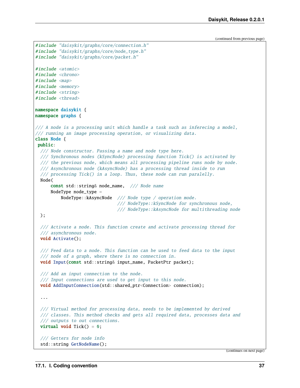```
#include "daisykit/graphs/core/connection.h"
#include "daisykit/graphs/core/node_type.h"
#include "daisykit/graphs/core/packet.h"
#include <atomic>
#include <chrono>
#include \langle map \rangle#include <memory>
#include <string>
#include <thread>
namespace daisykit {
namespace graphs {
/// A node is a processing unit which handle a task such as inferecing a model,
/// running an image processing operation, or visualizing data.
class Node {
public:
 /// Node constructor. Passing a name and node type here.
  /// Synchronous nodes (kSyncNode) processing function Tick() is activated by
  /// the previous node, which means all processing pipeline runs node by node.
  /// Asynchronous node (kAsyncNode) has a processing thread inside to run
  /// processing Tick() in a loop. Thus, these node can run paralelly.
  Node(
      const std::string& node_name, /// Node name
      NodeType node_type =
          NodeType::kAsyncNode /// Node type / operation mode.
                                /// NodeType::kSyncNode for synchronous node,
                                /// NodeType::kAsyncNode for multithreading node
  );
  /// Activate a node. This function create and activate processing thread for
  /// asynchronous node.
  void Activate();
  /// Feed data to a node. This function can be used to feed data to the input
  /// node of a graph, where there is no connection in.
  void Input(const std::string& input_name, PacketPtr packet);
  /// Add an input connection to the node.
  /// Input connections are used to get input to this node.
  void AddInputConnection(std::shared_ptr<Connection> connection);
  ...
  /// Virtual method for processing data, needs to be implemented by derived
  /// classes. This method checks and gets all required data, processes data and
  /// outputs to out connections.
  virtual void Tick() = 0;/// Getters for node info
  std::string GetNodeName();
```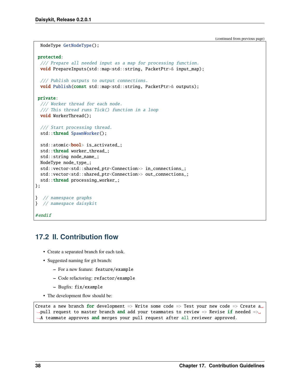```
NodeType GetNodeType();
protected:
  /// Prepare all needed input as a map for processing function.
 void PrepareInputs(std::map<std::string, PacketPtr>& input_map);
  /// Publish outputs to output connections.
 void Publish(const std::map<std::string, PacketPtr>& outputs);
private:
  /// Worker thread for each node.
  /// This thread runs Tick() function in a loop
 void WorkerThread();
 /// Start processing thread.
  std::thread SpawnWorker();
  std::atomic<bool> is_activated_;
  std::thread worker_thread_;
 std::string node_name_;
 NodeType node_type_;
 std::vector<std::shared_ptr<Connection>> in_connections_;
 std::vector<std::shared_ptr<Connection>> out_connections_;
 std::thread processing_worker_;
};
} // namespace graphs
} // namespace daisykit
#endif
```
### <span id="page-41-0"></span>**17.2 II. Contribution flow**

- Create a separated branch for each task.
- Suggested naming for git branch:
	- **–** For a new feature: feature/example
	- **–** Code refactoring: refactor/example
	- **–** Bugfix: fix/example
- The development flow should be:

```
Create a new branch for development => Write some code => Test your new code => Create a
\rightarrowpull request to master branch and add your teammates to review => Revise if needed =>\rightarrow→A teammate approves and merges your pull request after all reviewer approved.
```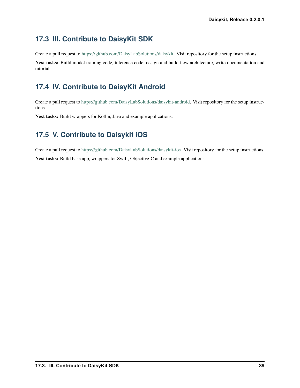### <span id="page-42-0"></span>**17.3 III. Contribute to DaisyKit SDK**

Create a pull request to [https://github.com/DaisyLabSolutions/daisykit.](https://github.com/DaisyLabSolutions/daisykit) Visit repository for the setup instructions.

**Next tasks:** Build model training code, inference code, design and build flow architecture, write documentation and tutorials.

# <span id="page-42-1"></span>**17.4 IV. Contribute to DaisyKit Android**

Create a pull request to [https://github.com/DaisyLabSolutions/daisykit-android.](https://github.com/DaisyLabSolutions/daisykit-android) Visit repository for the setup instructions.

**Next tasks:** Build wrappers for Kotlin, Java and example applications.

### <span id="page-42-2"></span>**17.5 V. Contribute to Daisykit iOS**

Create a pull request to [https://github.com/DaisyLabSolutions/daisykit-ios.](https://github.com/DaisyLabSolutions/daisykit-ios) Visit repository for the setup instructions.

**Next tasks:** Build base app, wrappers for Swift, Objective-C and example applications.